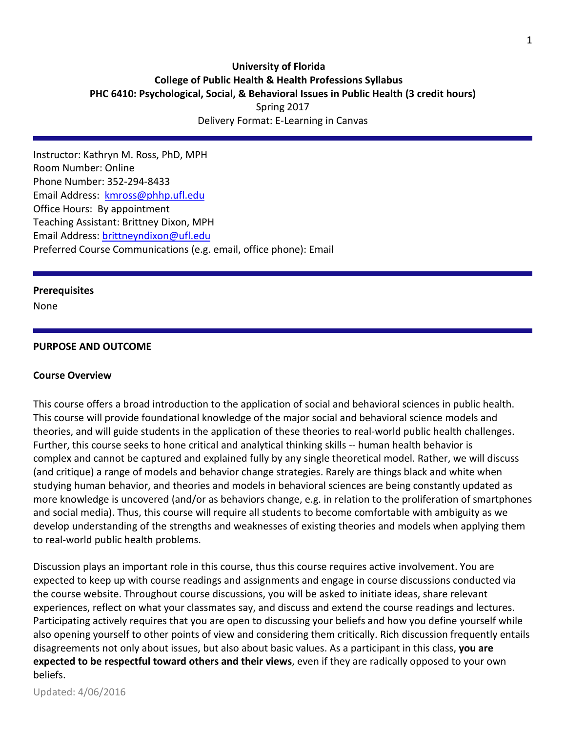# **University of Florida College of Public Health & Health Professions Syllabus PHC 6410: Psychological, Social, & Behavioral Issues in Public Health (3 credit hours)** Spring 2017

Delivery Format: E-Learning in Canvas

Instructor: Kathryn M. Ross, PhD, MPH Room Number: Online Phone Number: 352-294-8433 Email Address: [kmross@phhp.ufl.edu](mailto:kmross@phhp.ufl.edu) Office Hours: By appointment Teaching Assistant: Brittney Dixon, MPH Email Address: [brittneyndixon@ufl.edu](mailto:brittneyndixon@ufl.edu) Preferred Course Communications (e.g. email, office phone): Email

#### **Prerequisites**

None

#### **PURPOSE AND OUTCOME**

#### **Course Overview**

This course offers a broad introduction to the application of social and behavioral sciences in public health. This course will provide foundational knowledge of the major social and behavioral science models and theories, and will guide students in the application of these theories to real-world public health challenges. Further, this course seeks to hone critical and analytical thinking skills -- human health behavior is complex and cannot be captured and explained fully by any single theoretical model. Rather, we will discuss (and critique) a range of models and behavior change strategies. Rarely are things black and white when studying human behavior, and theories and models in behavioral sciences are being constantly updated as more knowledge is uncovered (and/or as behaviors change, e.g. in relation to the proliferation of smartphones and social media). Thus, this course will require all students to become comfortable with ambiguity as we develop understanding of the strengths and weaknesses of existing theories and models when applying them to real-world public health problems.

Discussion plays an important role in this course, thus this course requires active involvement. You are expected to keep up with course readings and assignments and engage in course discussions conducted via the course website. Throughout course discussions, you will be asked to initiate ideas, share relevant experiences, reflect on what your classmates say, and discuss and extend the course readings and lectures. Participating actively requires that you are open to discussing your beliefs and how you define yourself while also opening yourself to other points of view and considering them critically. Rich discussion frequently entails disagreements not only about issues, but also about basic values. As a participant in this class, **you are expected to be respectful toward others and their views**, even if they are radically opposed to your own beliefs.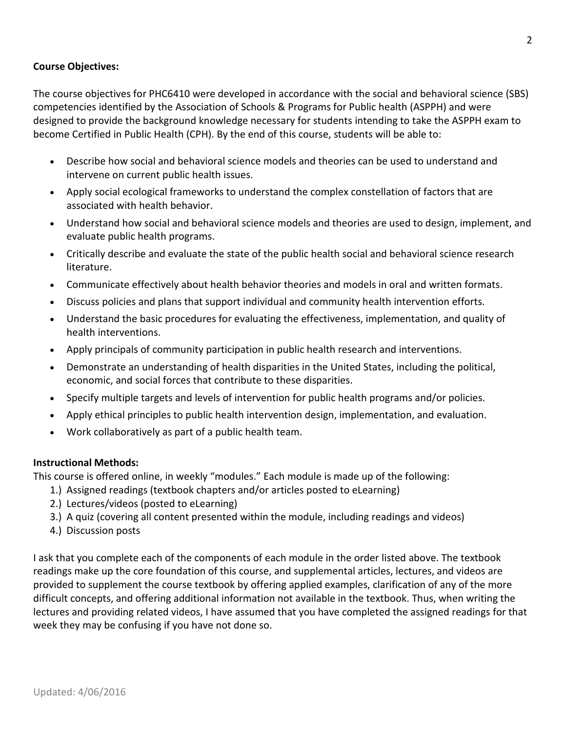## **Course Objectives:**

The course objectives for PHC6410 were developed in accordance with the social and behavioral science (SBS) competencies identified by the Association of Schools & Programs for Public health (ASPPH) and were designed to provide the background knowledge necessary for students intending to take the ASPPH exam to become Certified in Public Health (CPH). By the end of this course, students will be able to:

- Describe how social and behavioral science models and theories can be used to understand and intervene on current public health issues.
- Apply social ecological frameworks to understand the complex constellation of factors that are associated with health behavior.
- Understand how social and behavioral science models and theories are used to design, implement, and evaluate public health programs.
- Critically describe and evaluate the state of the public health social and behavioral science research literature.
- Communicate effectively about health behavior theories and models in oral and written formats.
- Discuss policies and plans that support individual and community health intervention efforts.
- Understand the basic procedures for evaluating the effectiveness, implementation, and quality of health interventions.
- Apply principals of community participation in public health research and interventions.
- Demonstrate an understanding of health disparities in the United States, including the political, economic, and social forces that contribute to these disparities.
- Specify multiple targets and levels of intervention for public health programs and/or policies.
- Apply ethical principles to public health intervention design, implementation, and evaluation.
- Work collaboratively as part of a public health team.

## **Instructional Methods:**

This course is offered online, in weekly "modules." Each module is made up of the following:

- 1.) Assigned readings (textbook chapters and/or articles posted to eLearning)
- 2.) Lectures/videos (posted to eLearning)
- 3.) A quiz (covering all content presented within the module, including readings and videos)
- 4.) Discussion posts

I ask that you complete each of the components of each module in the order listed above. The textbook readings make up the core foundation of this course, and supplemental articles, lectures, and videos are provided to supplement the course textbook by offering applied examples, clarification of any of the more difficult concepts, and offering additional information not available in the textbook. Thus, when writing the lectures and providing related videos, I have assumed that you have completed the assigned readings for that week they may be confusing if you have not done so.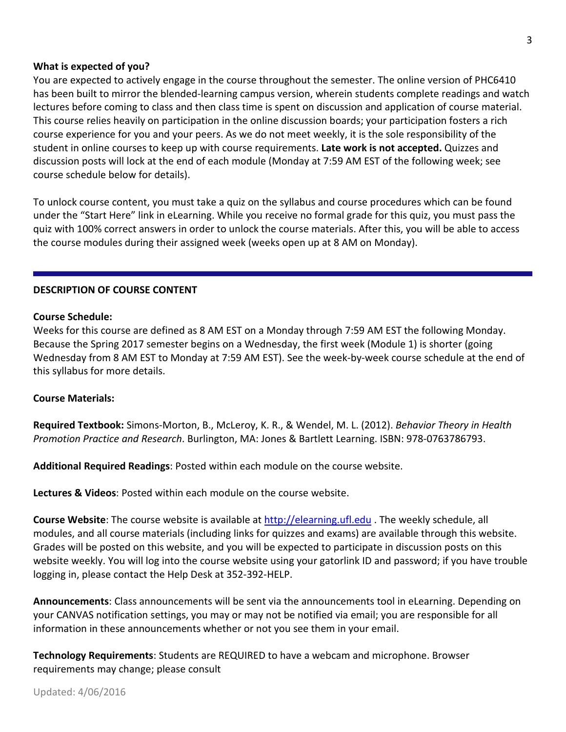#### **What is expected of you?**

You are expected to actively engage in the course throughout the semester. The online version of PHC6410 has been built to mirror the blended-learning campus version, wherein students complete readings and watch lectures before coming to class and then class time is spent on discussion and application of course material. This course relies heavily on participation in the online discussion boards; your participation fosters a rich course experience for you and your peers. As we do not meet weekly, it is the sole responsibility of the student in online courses to keep up with course requirements. **Late work is not accepted.** Quizzes and discussion posts will lock at the end of each module (Monday at 7:59 AM EST of the following week; see course schedule below for details).

To unlock course content, you must take a quiz on the syllabus and course procedures which can be found under the "Start Here" link in eLearning. While you receive no formal grade for this quiz, you must pass the quiz with 100% correct answers in order to unlock the course materials. After this, you will be able to access the course modules during their assigned week (weeks open up at 8 AM on Monday).

#### **DESCRIPTION OF COURSE CONTENT**

#### **Course Schedule:**

Weeks for this course are defined as 8 AM EST on a Monday through 7:59 AM EST the following Monday. Because the Spring 2017 semester begins on a Wednesday, the first week (Module 1) is shorter (going Wednesday from 8 AM EST to Monday at 7:59 AM EST). See the week-by-week course schedule at the end of this syllabus for more details.

#### **Course Materials:**

**Required Textbook:** Simons-Morton, B., McLeroy, K. R., & Wendel, M. L. (2012). *Behavior Theory in Health Promotion Practice and Research*. Burlington, MA: Jones & Bartlett Learning. ISBN: 978-0763786793.

**Additional Required Readings**: Posted within each module on the course website.

**Lectures & Videos**: Posted within each module on the course website.

**Course Website**: The course website is available at [http://elearning.ufl.edu](http://elearning.ufl.edu/) . The weekly schedule, all modules, and all course materials (including links for quizzes and exams) are available through this website. Grades will be posted on this website, and you will be expected to participate in discussion posts on this website weekly. You will log into the course website using your gatorlink ID and password; if you have trouble logging in, please contact the Help Desk at 352-392-HELP.

**Announcements**: Class announcements will be sent via the announcements tool in eLearning. Depending on your CANVAS notification settings, you may or may not be notified via email; you are responsible for all information in these announcements whether or not you see them in your email.

**Technology Requirements**: Students are REQUIRED to have a webcam and microphone. Browser requirements may change; please consult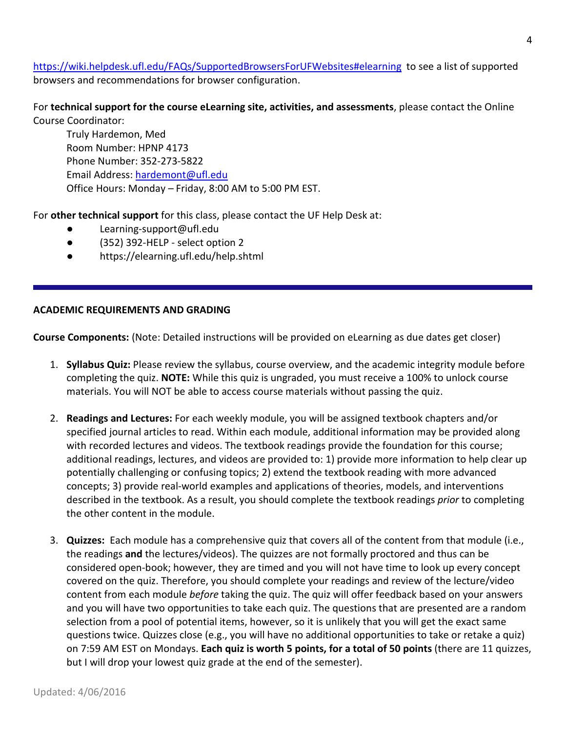<https://wiki.helpdesk.ufl.edu/FAQs/SupportedBrowsersForUFWebsites#elearning> to see a list of supported browsers and recommendations for browser configuration.

For **technical support for the course eLearning site, activities, and assessments**, please contact the Online Course Coordinator:

Truly Hardemon, Med Room Number: HPNP 4173 Phone Number: 352-273-5822 Email Address: [hardemont@ufl.edu](mailto:hardemont@ufl.edu) Office Hours: Monday – Friday, 8:00 AM to 5:00 PM EST.

For **other technical support** for this class, please contact the UF Help Desk at:

- Learning-support@ufl.edu
- (352) 392-HELP select option 2
- https://elearning.ufl.edu/help.shtml

## **ACADEMIC REQUIREMENTS AND GRADING**

**Course Components:** (Note: Detailed instructions will be provided on eLearning as due dates get closer)

- 1. **Syllabus Quiz:** Please review the syllabus, course overview, and the academic integrity module before completing the quiz. **NOTE:** While this quiz is ungraded, you must receive a 100% to unlock course materials. You will NOT be able to access course materials without passing the quiz.
- 2. **Readings and Lectures:** For each weekly module, you will be assigned textbook chapters and/or specified journal articles to read. Within each module, additional information may be provided along with recorded lectures and videos. The textbook readings provide the foundation for this course; additional readings, lectures, and videos are provided to: 1) provide more information to help clear up potentially challenging or confusing topics; 2) extend the textbook reading with more advanced concepts; 3) provide real-world examples and applications of theories, models, and interventions described in the textbook. As a result, you should complete the textbook readings *prior* to completing the other content in the module.
- 3. **Quizzes:** Each module has a comprehensive quiz that covers all of the content from that module (i.e., the readings **and** the lectures/videos). The quizzes are not formally proctored and thus can be considered open-book; however, they are timed and you will not have time to look up every concept covered on the quiz. Therefore, you should complete your readings and review of the lecture/video content from each module *before* taking the quiz. The quiz will offer feedback based on your answers and you will have two opportunities to take each quiz. The questions that are presented are a random selection from a pool of potential items, however, so it is unlikely that you will get the exact same questions twice. Quizzes close (e.g., you will have no additional opportunities to take or retake a quiz) on 7:59 AM EST on Mondays. **Each quiz is worth 5 points, for a total of 50 points** (there are 11 quizzes, but I will drop your lowest quiz grade at the end of the semester).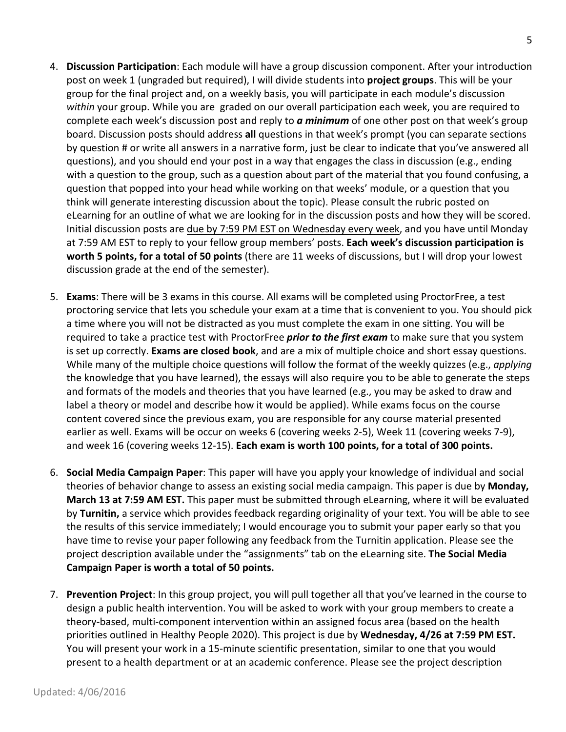- 4. **Discussion Participation**: Each module will have a group discussion component. After your introduction post on week 1 (ungraded but required), I will divide students into **project groups**. This will be your group for the final project and, on a weekly basis, you will participate in each module's discussion *within* your group. While you are graded on our overall participation each week, you are required to complete each week's discussion post and reply to *a minimum* of one other post on that week's group board. Discussion posts should address **all** questions in that week's prompt (you can separate sections by question # or write all answers in a narrative form, just be clear to indicate that you've answered all questions), and you should end your post in a way that engages the class in discussion (e.g., ending with a question to the group, such as a question about part of the material that you found confusing, a question that popped into your head while working on that weeks' module, or a question that you think will generate interesting discussion about the topic). Please consult the rubric posted on eLearning for an outline of what we are looking for in the discussion posts and how they will be scored. Initial discussion posts are due by 7:59 PM EST on Wednesday every week, and you have until Monday at 7:59 AM EST to reply to your fellow group members' posts. **Each week's discussion participation is worth 5 points, for a total of 50 points** (there are 11 weeks of discussions, but I will drop your lowest discussion grade at the end of the semester).
- 5. **Exams**: There will be 3 exams in this course. All exams will be completed using ProctorFree, a test proctoring service that lets you schedule your exam at a time that is convenient to you. You should pick a time where you will not be distracted as you must complete the exam in one sitting. You will be required to take a practice test with ProctorFree *prior to the first exam* to make sure that you system is set up correctly. **Exams are closed book**, and are a mix of multiple choice and short essay questions. While many of the multiple choice questions will follow the format of the weekly quizzes (e.g., *applying* the knowledge that you have learned), the essays will also require you to be able to generate the steps and formats of the models and theories that you have learned (e.g., you may be asked to draw and label a theory or model and describe how it would be applied). While exams focus on the course content covered since the previous exam, you are responsible for any course material presented earlier as well. Exams will be occur on weeks 6 (covering weeks 2-5), Week 11 (covering weeks 7-9), and week 16 (covering weeks 12-15). **Each exam is worth 100 points, for a total of 300 points.**
- 6. **Social Media Campaign Paper**: This paper will have you apply your knowledge of individual and social theories of behavior change to assess an existing social media campaign. This paper is due by **Monday, March 13 at 7:59 AM EST.** This paper must be submitted through eLearning, where it will be evaluated by **Turnitin,** a service which provides feedback regarding originality of your text. You will be able to see the results of this service immediately; I would encourage you to submit your paper early so that you have time to revise your paper following any feedback from the Turnitin application. Please see the project description available under the "assignments" tab on the eLearning site. **The Social Media Campaign Paper is worth a total of 50 points.**
- 7. **Prevention Project**: In this group project, you will pull together all that you've learned in the course to design a public health intervention. You will be asked to work with your group members to create a theory-based, multi-component intervention within an assigned focus area (based on the health priorities outlined in Healthy People 2020). This project is due by **Wednesday, 4/26 at 7:59 PM EST.**  You will present your work in a 15-minute scientific presentation, similar to one that you would present to a health department or at an academic conference. Please see the project description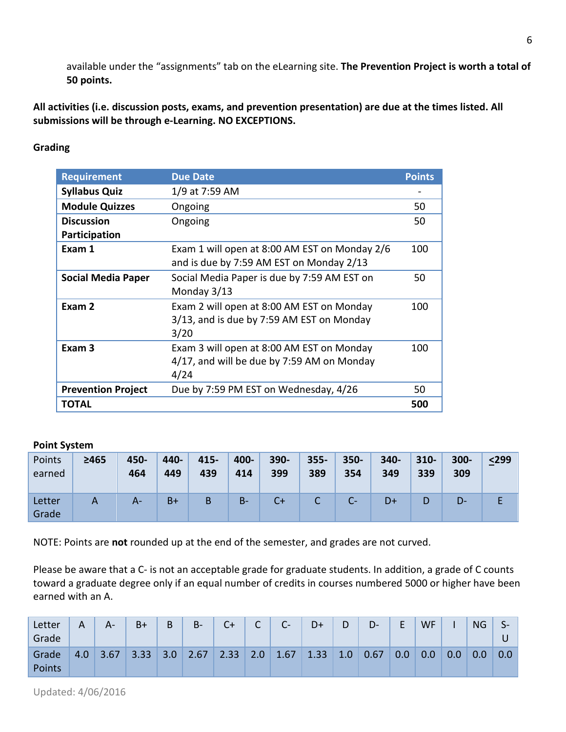available under the "assignments" tab on the eLearning site. **The Prevention Project is worth a total of 50 points.**

**All activities (i.e. discussion posts, exams, and prevention presentation) are due at the times listed. All submissions will be through e-Learning. NO EXCEPTIONS.**

# **Grading Grading**

| <b>Requirement</b>        | <b>Due Date</b>                                                                                 | <b>Points</b> |
|---------------------------|-------------------------------------------------------------------------------------------------|---------------|
| <b>Syllabus Quiz</b>      | 1/9 at 7:59 AM                                                                                  |               |
| <b>Module Quizzes</b>     | Ongoing                                                                                         | 50            |
| <b>Discussion</b>         | Ongoing                                                                                         | 50            |
| Participation             |                                                                                                 |               |
| Exam 1                    | Exam 1 will open at 8:00 AM EST on Monday 2/6<br>and is due by 7:59 AM EST on Monday 2/13       | 100           |
| <b>Social Media Paper</b> | Social Media Paper is due by 7:59 AM EST on<br>Monday 3/13                                      | 50            |
| Exam 2                    | Exam 2 will open at 8:00 AM EST on Monday<br>3/13, and is due by 7:59 AM EST on Monday<br>3/20  | 100           |
| Exam <sub>3</sub>         | Exam 3 will open at 8:00 AM EST on Monday<br>4/17, and will be due by 7:59 AM on Monday<br>4/24 | 100           |
| <b>Prevention Project</b> | Due by 7:59 PM EST on Wednesday, 4/26                                                           | 50            |
| TOTAL                     |                                                                                                 | 500           |

## **Point System**

| Points<br>earned | ≥465 | 450-<br>464 | $440 -$<br>449 | 415-<br>439 | 400-<br>414 | 390-<br>399 | $355 -$<br>389 | $350 -$<br>354 | 340-<br>349 | $310 -$<br>339 | $300 -$<br>309 | $<$ 299 |
|------------------|------|-------------|----------------|-------------|-------------|-------------|----------------|----------------|-------------|----------------|----------------|---------|
| Letter<br>Grade  |      | A-          | $B+$           | B           | $B -$       | $C+$        |                |                | D+          | D              | D-             |         |

NOTE: Points are **not** rounded up at the end of the semester, and grades are not curved.

Please be aware that a C- is not an acceptable grade for graduate students. In addition, a grade of C counts toward a graduate degree only if an equal number of credits in courses numbered 5000 or higher have been earned with an A.

| Letter<br>Grade | Α   | $A -$ | $B+$ | B   | $B -$ | $C+$ | $\mathsf{C}$ | $C-$ | D+   | D   | $D -$ | F.  | <b>WF</b>        |     | <b>NG</b> | ⊃⊤  |
|-----------------|-----|-------|------|-----|-------|------|--------------|------|------|-----|-------|-----|------------------|-----|-----------|-----|
| Grade<br>Points | 4.0 | 3.67  | 3.33 | 3.0 | 2.67  | 2.33 | 2.0          | 1.67 | 1.33 | 1.0 | 0.67  | 0.0 | 0.0 <sub>1</sub> | 0.0 | 0.0       | 0.0 |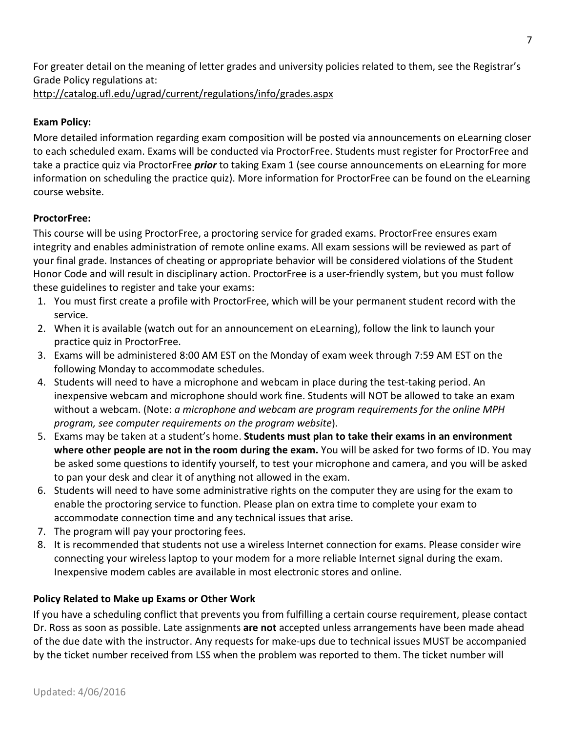For greater detail on the meaning of letter grades and university policies related to them, see the Registrar's Grade Policy regulations at:

<http://catalog.ufl.edu/ugrad/current/regulations/info/grades.aspx>

# **Exam Policy:**

More detailed information regarding exam composition will be posted via announcements on eLearning closer to each scheduled exam. Exams will be conducted via ProctorFree. Students must register for ProctorFree and take a practice quiz via ProctorFree *prior* to taking Exam 1 (see course announcements on eLearning for more information on scheduling the practice quiz). More information for ProctorFree can be found on the eLearning course website.

# **ProctorFree:**

This course will be using ProctorFree, a proctoring service for graded exams. ProctorFree ensures exam integrity and enables administration of remote online exams. All exam sessions will be reviewed as part of your final grade. Instances of cheating or appropriate behavior will be considered violations of the Student Honor Code and will result in disciplinary action. ProctorFree is a user-friendly system, but you must follow these guidelines to register and take your exams:

- 1. You must first create a profile with ProctorFree, which will be your permanent student record with the service.
- 2. When it is available (watch out for an announcement on eLearning), follow the link to launch your practice quiz in ProctorFree.
- 3. Exams will be administered 8:00 AM EST on the Monday of exam week through 7:59 AM EST on the following Monday to accommodate schedules.
- 4. Students will need to have a microphone and webcam in place during the test-taking period. An inexpensive webcam and microphone should work fine. Students will NOT be allowed to take an exam without a webcam. (Note: *a microphone and webcam are program requirements for the online MPH program, see computer requirements on the program website*).
- 5. Exams may be taken at a student's home. **Students must plan to take their exams in an environment where other people are not in the room during the exam.** You will be asked for two forms of ID. You may be asked some questions to identify yourself, to test your microphone and camera, and you will be asked to pan your desk and clear it of anything not allowed in the exam.
- 6. Students will need to have some administrative rights on the computer they are using for the exam to enable the proctoring service to function. Please plan on extra time to complete your exam to accommodate connection time and any technical issues that arise.
- 7. The program will pay your proctoring fees.
- 8. It is recommended that students not use a wireless Internet connection for exams. Please consider wire connecting your wireless laptop to your modem for a more reliable Internet signal during the exam. Inexpensive modem cables are available in most electronic stores and online.

# **Policy Related to Make up Exams or Other Work**

If you have a scheduling conflict that prevents you from fulfilling a certain course requirement, please contact Dr. Ross as soon as possible. Late assignments **are not** accepted unless arrangements have been made ahead of the due date with the instructor. Any requests for make-ups due to technical issues MUST be accompanied by the ticket number received from LSS when the problem was reported to them. The ticket number will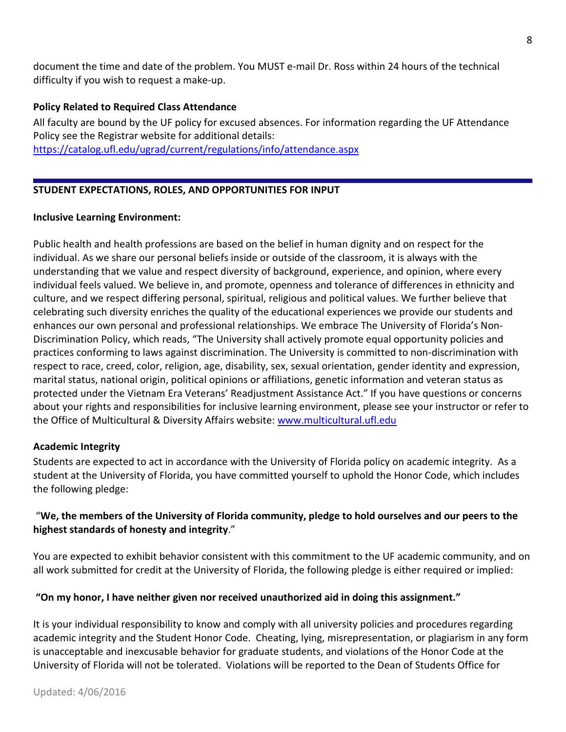document the time and date of the problem. You MUST e-mail Dr. Ross within 24 hours of the technical difficulty if you wish to request a make-up.

## **Policy Related to Required Class Attendance**

All faculty are bound by the UF policy for excused absences. For information regarding the UF Attendance Policy see the Registrar website for additional details:

<https://catalog.ufl.edu/ugrad/current/regulations/info/attendance.aspx>

# **STUDENT EXPECTATIONS, ROLES, AND OPPORTUNITIES FOR INPUT**

## **Inclusive Learning Environment:**

Public health and health professions are based on the belief in human dignity and on respect for the individual. As we share our personal beliefs inside or outside of the classroom, it is always with the understanding that we value and respect diversity of background, experience, and opinion, where every individual feels valued. We believe in, and promote, openness and tolerance of differences in ethnicity and culture, and we respect differing personal, spiritual, religious and political values. We further believe that celebrating such diversity enriches the quality of the educational experiences we provide our students and enhances our own personal and professional relationships. We embrace The University of Florida's Non-Discrimination Policy, which reads, "The University shall actively promote equal opportunity policies and practices conforming to laws against discrimination. The University is committed to non-discrimination with respect to race, creed, color, religion, age, disability, sex, sexual orientation, gender identity and expression, marital status, national origin, political opinions or affiliations, genetic information and veteran status as protected under the Vietnam Era Veterans' Readjustment Assistance Act." If you have questions or concerns about your rights and responsibilities for inclusive learning environment, please see your instructor or refer to the Office of Multicultural & Diversity Affairs website: [www.multicultural.ufl.edu](http://www.multicultural.ufl.edu/)

## **Academic Integrity**

Students are expected to act in accordance with the University of Florida policy on academic integrity. As a student at the University of Florida, you have committed yourself to uphold the Honor Code, which includes the following pledge:

# We, the members of the University of Florida community, pledge to hold ourselves and our peers to the **highest standards of honesty and integrity**."

You are expected to exhibit behavior consistent with this commitment to the UF academic community, and on all work submitted for credit at the University of Florida, the following pledge is either required or implied:

# **"On my honor, I have neither given nor received unauthorized aid in doing this assignment."**

It is your individual responsibility to know and comply with all university policies and procedures regarding academic integrity and the Student Honor Code. Cheating, lying, misrepresentation, or plagiarism in any form is unacceptable and inexcusable behavior for graduate students, and violations of the Honor Code at the University of Florida will not be tolerated. Violations will be reported to the Dean of Students Office for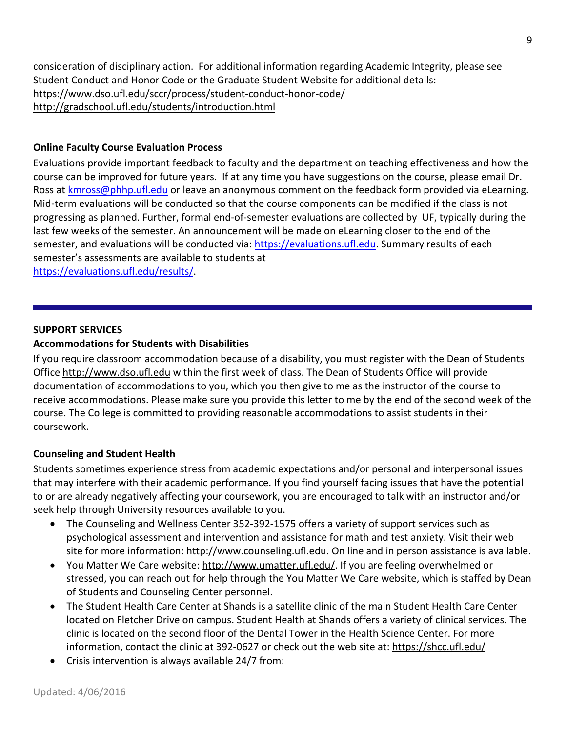consideration of disciplinary action. For additional information regarding Academic Integrity, please see Student Conduct and Honor Code or the Graduate Student Website for additional details: <https://www.dso.ufl.edu/sccr/process/student-conduct-honor-code/> <http://gradschool.ufl.edu/students/introduction.html>

## **Online Faculty Course Evaluation Process**

Evaluations provide important feedback to faculty and the department on teaching effectiveness and how the course can be improved for future years. If at any time you have suggestions on the course, please email Dr. Ross at [kmross@phhp.ufl.edu](mailto:kmross@phhp.ufl.edu) or leave an anonymous comment on the feedback form provided via eLearning. Mid-term evaluations will be conducted so that the course components can be modified if the class is not progressing as planned. Further, formal end-of-semester evaluations are collected by UF, typically during the last few weeks of the semester. An announcement will be made on eLearning closer to the end of the semester, and evaluations will be conducted via: [https://evaluations.ufl.edu.](https://evaluations.ufl.edu/) Summary results of each semester's assessments are available to students at

[https://evaluations.ufl.edu/results/.](https://evaluations.ufl.edu/results/)

## **SUPPORT SERVICES**

## **Accommodations for Students with Disabilities**

If you require classroom accommodation because of a disability, you must register with the Dean of Students Office [http://www.dso.ufl.edu](http://www.dso.ufl.edu/) within the first week of class. The Dean of Students Office will provide documentation of accommodations to you, which you then give to me as the instructor of the course to receive accommodations. Please make sure you provide this letter to me by the end of the second week of the course. The College is committed to providing reasonable accommodations to assist students in their coursework.

## **Counseling and Student Health**

Students sometimes experience stress from academic expectations and/or personal and interpersonal issues that may interfere with their academic performance. If you find yourself facing issues that have the potential to or are already negatively affecting your coursework, you are encouraged to talk with an instructor and/or seek help through University resources available to you.

- The Counseling and Wellness Center 352-392-1575 offers a variety of support services such as psychological assessment and intervention and assistance for math and test anxiety. Visit their web site for more information: [http://www.counseling.ufl.edu.](http://www.counseling.ufl.edu/) On line and in person assistance is available.
- You Matter We Care website[: http://www.umatter.ufl.edu/.](http://www.umatter.ufl.edu/) If you are feeling overwhelmed or stressed, you can reach out for help through the You Matter We Care website, which is staffed by Dean of Students and Counseling Center personnel.
- The Student Health Care Center at Shands is a satellite clinic of the main Student Health Care Center located on Fletcher Drive on campus. Student Health at Shands offers a variety of clinical services. The clinic is located on the second floor of the Dental Tower in the Health Science Center. For more information, contact the clinic at 392-0627 or check out the web site at: <https://shcc.ufl.edu/>
- Crisis intervention is always available 24/7 from: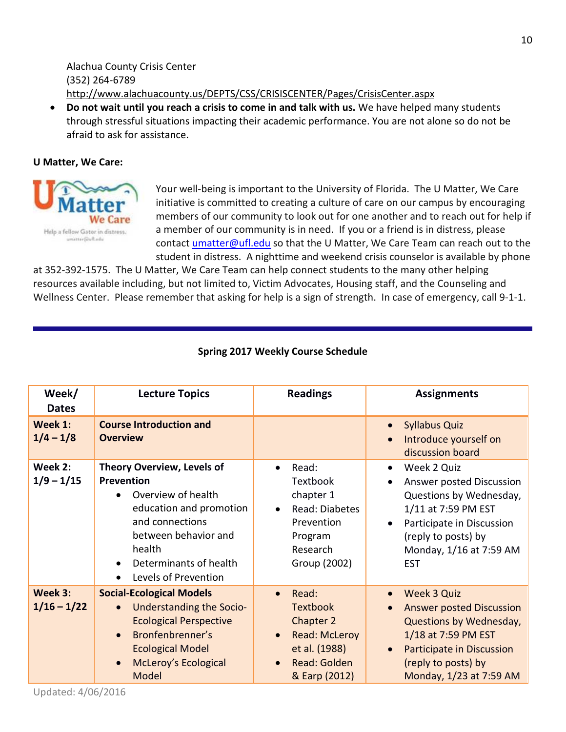Alachua County Crisis Center (352) 264-6789 <http://www.alachuacounty.us/DEPTS/CSS/CRISISCENTER/Pages/CrisisCenter.aspx>

• **Do not wait until you reach a crisis to come in and talk with us.** We have helped many students through stressful situations impacting their academic performance. You are not alone so do not be afraid to ask for assistance.

## **U Matter, We Care:**



Your well-being is important to the University of Florida. The U Matter, We Care initiative is committed to creating a culture of care on our campus by encouraging members of our community to look out for one another and to reach out for help if a member of our community is in need. If you or a friend is in distress, please contact [umatter@ufl.edu](mailto:umatter@ufl.edu) so that the U Matter, We Care Team can reach out to the student in distress. A nighttime and weekend crisis counselor is available by phone

at 352-392-1575. The U Matter, We Care Team can help connect students to the many other helping resources available including, but not limited to, Victim Advocates, Housing staff, and the Counseling and Wellness Center. Please remember that asking for help is a sign of strength. In case of emergency, call 9-1-1.

| Week/<br><b>Dates</b>    | <b>Lecture Topics</b>                                                                                                                                                                                                             | <b>Readings</b>                                                                                                                           | <b>Assignments</b>                                                                                                                                                                     |
|--------------------------|-----------------------------------------------------------------------------------------------------------------------------------------------------------------------------------------------------------------------------------|-------------------------------------------------------------------------------------------------------------------------------------------|----------------------------------------------------------------------------------------------------------------------------------------------------------------------------------------|
| Week 1:<br>$1/4 - 1/8$   | <b>Course Introduction and</b><br><b>Overview</b>                                                                                                                                                                                 |                                                                                                                                           | <b>Syllabus Quiz</b><br>Introduce yourself on<br>discussion board                                                                                                                      |
| Week 2:<br>$1/9 - 1/15$  | <b>Theory Overview, Levels of</b><br>Prevention<br>Overview of health<br>education and promotion<br>and connections<br>between behavior and<br>health<br>Determinants of health<br>$\bullet$<br>Levels of Prevention<br>$\bullet$ | Read:<br>Textbook<br>chapter 1<br>Read: Diabetes<br>Prevention<br>Program<br>Research<br>Group (2002)                                     | Week 2 Quiz<br>Answer posted Discussion<br>Questions by Wednesday,<br>1/11 at 7:59 PM EST<br>Participate in Discussion<br>(reply to posts) by<br>Monday, 1/16 at 7:59 AM<br><b>EST</b> |
| Week 3:<br>$1/16 - 1/22$ | <b>Social-Ecological Models</b><br>Understanding the Socio-<br>$\bullet$<br><b>Ecological Perspective</b><br>Bronfenbrenner's<br>$\bullet$<br><b>Ecological Model</b><br><b>McLeroy's Ecological</b><br>$\bullet$<br>Model        | Read:<br>$\bullet$<br><b>Textbook</b><br>Chapter 2<br><b>Read: McLeroy</b><br>$\bullet$<br>et al. (1988)<br>Read: Golden<br>& Earp (2012) | <b>Week 3 Quiz</b><br><b>Answer posted Discussion</b><br>Questions by Wednesday,<br>1/18 at 7:59 PM EST<br>Participate in Discussion<br>(reply to posts) by<br>Monday, 1/23 at 7:59 AM |

## **Spring 2017 Weekly Course Schedule**

Updated: 4/06/2016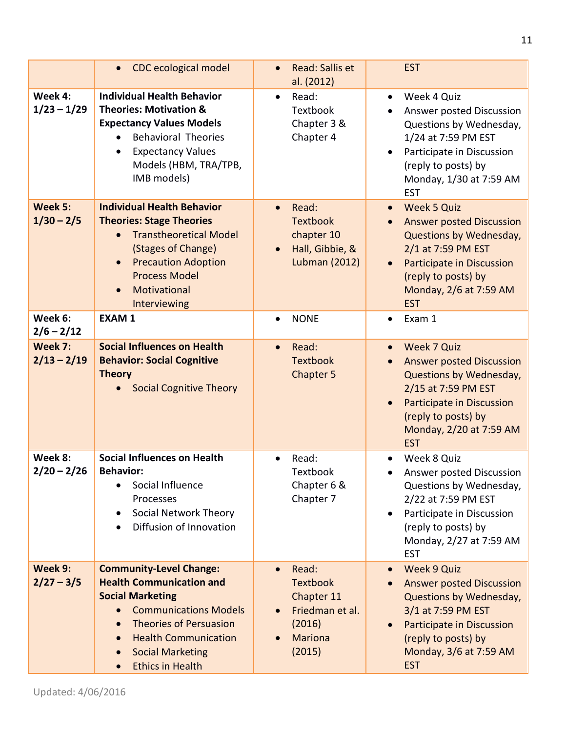|                          | <b>CDC</b> ecological model<br>$\bullet$                                                                                                                                                                                                                                     | <b>Read: Sallis et</b><br>$\bullet$<br>al. (2012)                                                                                      | <b>EST</b>                                                                                                                                                                                                                                |
|--------------------------|------------------------------------------------------------------------------------------------------------------------------------------------------------------------------------------------------------------------------------------------------------------------------|----------------------------------------------------------------------------------------------------------------------------------------|-------------------------------------------------------------------------------------------------------------------------------------------------------------------------------------------------------------------------------------------|
| Week 4:<br>$1/23 - 1/29$ | <b>Individual Health Behavior</b><br><b>Theories: Motivation &amp;</b><br><b>Expectancy Values Models</b><br><b>Behavioral Theories</b><br><b>Expectancy Values</b><br>Models (HBM, TRA/TPB,<br>IMB models)                                                                  | Read:<br>$\bullet$<br>Textbook<br>Chapter 3 &<br>Chapter 4                                                                             | Week 4 Quiz<br>$\bullet$<br>Answer posted Discussion<br>$\bullet$<br>Questions by Wednesday,<br>1/24 at 7:59 PM EST<br>Participate in Discussion<br>(reply to posts) by<br>Monday, 1/30 at 7:59 AM<br><b>EST</b>                          |
| Week 5:<br>$1/30 - 2/5$  | <b>Individual Health Behavior</b><br><b>Theories: Stage Theories</b><br><b>Transtheoretical Model</b><br>(Stages of Change)<br><b>Precaution Adoption</b><br>$\bullet$<br><b>Process Model</b><br>Motivational<br>$\bullet$<br>Interviewing                                  | Read:<br>$\bullet$<br><b>Textbook</b><br>chapter 10<br>Hall, Gibbie, &<br>$\bullet$<br><b>Lubman (2012)</b>                            | <b>Week 5 Quiz</b><br>$\bullet$<br><b>Answer posted Discussion</b><br>$\bullet$<br>Questions by Wednesday,<br>2/1 at 7:59 PM EST<br>Participate in Discussion<br>$\bullet$<br>(reply to posts) by<br>Monday, 2/6 at 7:59 AM<br><b>EST</b> |
| Week 6:<br>$2/6 - 2/12$  | <b>EXAM1</b>                                                                                                                                                                                                                                                                 | <b>NONE</b><br>$\bullet$                                                                                                               | Exam 1<br>٠                                                                                                                                                                                                                               |
| Week 7:<br>$2/13 - 2/19$ | <b>Social Influences on Health</b><br><b>Behavior: Social Cognitive</b><br><b>Theory</b><br><b>Social Cognitive Theory</b>                                                                                                                                                   | Read:<br>$\bullet$<br><b>Textbook</b><br>Chapter 5                                                                                     | Week 7 Quiz<br>$\bullet$<br><b>Answer posted Discussion</b><br>Questions by Wednesday,<br>2/15 at 7:59 PM EST<br>Participate in Discussion<br>$\bullet$<br>(reply to posts) by<br>Monday, 2/20 at 7:59 AM<br><b>EST</b>                   |
| Week 8:<br>$2/20 - 2/26$ | <b>Social Influences on Health</b><br><b>Behavior:</b><br>Social Influence<br>$\bullet$<br>Processes<br>Social Network Theory<br>٠<br>Diffusion of Innovation                                                                                                                | Read:<br>Textbook<br>Chapter 6 &<br>Chapter 7                                                                                          | Week 8 Quiz<br>Answer posted Discussion<br>Questions by Wednesday,<br>2/22 at 7:59 PM EST<br>Participate in Discussion<br>$\bullet$<br>(reply to posts) by<br>Monday, 2/27 at 7:59 AM<br><b>EST</b>                                       |
| Week 9:<br>$2/27 - 3/5$  | <b>Community-Level Change:</b><br><b>Health Communication and</b><br><b>Social Marketing</b><br><b>Communications Models</b><br><b>Theories of Persuasion</b><br><b>Health Communication</b><br>$\bullet$<br><b>Social Marketing</b><br>$\bullet$<br><b>Ethics in Health</b> | Read:<br>$\bullet$<br><b>Textbook</b><br>Chapter 11<br>Friedman et al.<br>$\bullet$<br>(2016)<br><b>Mariona</b><br>$\bullet$<br>(2015) | Week 9 Quiz<br>$\bullet$<br><b>Answer posted Discussion</b><br>Questions by Wednesday,<br>3/1 at 7:59 PM EST<br>Participate in Discussion<br>$\bullet$<br>(reply to posts) by<br>Monday, 3/6 at 7:59 AM<br><b>EST</b>                     |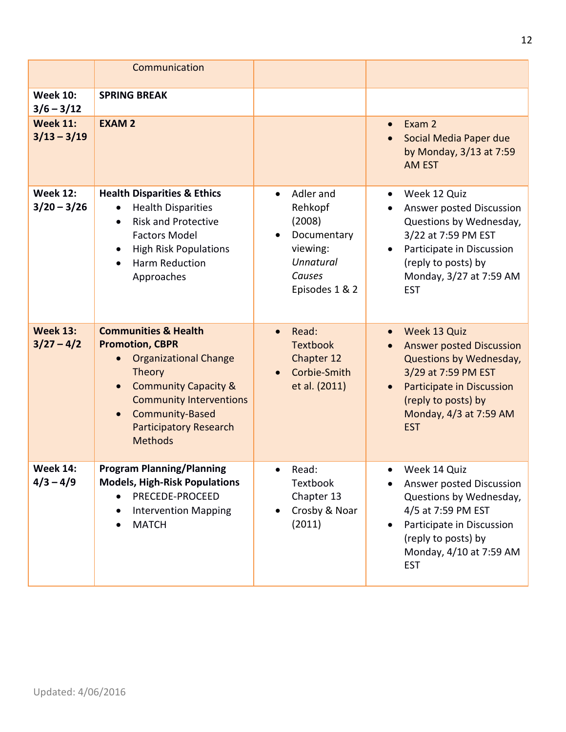|                                  | Communication                                                                                                                                                                                                                                                                   |                                                                                                                        |                                                                                                                                                                                                            |
|----------------------------------|---------------------------------------------------------------------------------------------------------------------------------------------------------------------------------------------------------------------------------------------------------------------------------|------------------------------------------------------------------------------------------------------------------------|------------------------------------------------------------------------------------------------------------------------------------------------------------------------------------------------------------|
| <b>Week 10:</b><br>$3/6 - 3/12$  | <b>SPRING BREAK</b>                                                                                                                                                                                                                                                             |                                                                                                                        |                                                                                                                                                                                                            |
| <b>Week 11:</b><br>$3/13 - 3/19$ | <b>EXAM 2</b>                                                                                                                                                                                                                                                                   |                                                                                                                        | Exam 2<br>$\bullet$<br>Social Media Paper due<br>by Monday, 3/13 at 7:59<br><b>AM EST</b>                                                                                                                  |
| <b>Week 12:</b><br>$3/20 - 3/26$ | <b>Health Disparities &amp; Ethics</b><br><b>Health Disparities</b><br>$\bullet$<br><b>Risk and Protective</b><br>$\bullet$<br><b>Factors Model</b><br><b>High Risk Populations</b><br>$\bullet$<br>Harm Reduction<br>Approaches                                                | Adler and<br>$\bullet$<br>Rehkopf<br>(2008)<br>Documentary<br>viewing:<br><b>Unnatural</b><br>Causes<br>Episodes 1 & 2 | Week 12 Quiz<br>Answer posted Discussion<br>Questions by Wednesday,<br>3/22 at 7:59 PM EST<br>Participate in Discussion<br>(reply to posts) by<br>Monday, 3/27 at 7:59 AM<br><b>EST</b>                    |
| <b>Week 13:</b><br>$3/27 - 4/2$  | <b>Communities &amp; Health</b><br><b>Promotion, CBPR</b><br><b>Organizational Change</b><br>Theory<br><b>Community Capacity &amp;</b><br>$\bullet$<br><b>Community Interventions</b><br><b>Community-Based</b><br>$\bullet$<br><b>Participatory Research</b><br><b>Methods</b> | Read:<br>$\bullet$<br><b>Textbook</b><br>Chapter 12<br>Corbie-Smith<br>et al. (2011)                                   | Week 13 Quiz<br>$\bullet$<br><b>Answer posted Discussion</b><br>Questions by Wednesday,<br>3/29 at 7:59 PM EST<br>Participate in Discussion<br>(reply to posts) by<br>Monday, 4/3 at 7:59 AM<br><b>EST</b> |
| <b>Week 14:</b><br>$4/3 - 4/9$   | <b>Program Planning/Planning</b><br><b>Models, High-Risk Populations</b><br>PRECEDE-PROCEED<br><b>Intervention Mapping</b><br><b>MATCH</b>                                                                                                                                      | Read:<br>$\bullet$<br>Textbook<br>Chapter 13<br>Crosby & Noar<br>(2011)                                                | Week 14 Quiz<br>$\bullet$<br>Answer posted Discussion<br>Questions by Wednesday,<br>4/5 at 7:59 PM EST<br>Participate in Discussion<br>(reply to posts) by<br>Monday, 4/10 at 7:59 AM<br><b>EST</b>        |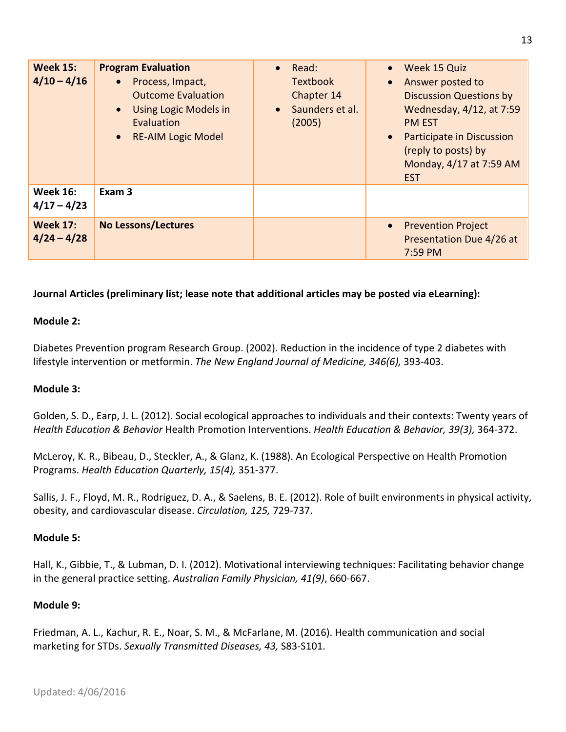| <b>Week 15:</b><br>$4/10 - 4/16$ | <b>Program Evaluation</b><br>Process, Impact,<br>$\bullet$<br><b>Outcome Evaluation</b><br><b>Using Logic Models in</b><br>$\bullet$<br>Evaluation<br>• RE-AIM Logic Model | Read:<br>$\bullet$<br><b>Textbook</b><br>Chapter 14<br>Saunders et al.<br>$\bullet$<br>(2005) | Week 15 Quiz<br>Answer posted to<br>$\bullet$<br><b>Discussion Questions by</b><br>Wednesday, 4/12, at 7:59<br><b>PM EST</b><br>Participate in Discussion<br>(reply to posts) by<br>Monday, 4/17 at 7:59 AM<br><b>EST</b> |
|----------------------------------|----------------------------------------------------------------------------------------------------------------------------------------------------------------------------|-----------------------------------------------------------------------------------------------|---------------------------------------------------------------------------------------------------------------------------------------------------------------------------------------------------------------------------|
| <b>Week 16:</b><br>$4/17 - 4/23$ | Exam <sub>3</sub>                                                                                                                                                          |                                                                                               |                                                                                                                                                                                                                           |
| <b>Week 17:</b><br>$4/24 - 4/28$ | <b>No Lessons/Lectures</b>                                                                                                                                                 |                                                                                               | <b>Prevention Project</b><br>Presentation Due 4/26 at<br>7:59 PM                                                                                                                                                          |

## **Journal Articles (preliminary list; lease note that additional articles may be posted via eLearning):**

#### **Module 2:**

Diabetes Prevention program Research Group. (2002). Reduction in the incidence of type 2 diabetes with lifestyle intervention or metformin. *The New England Journal of Medicine, 346(6),* 393-403.

#### **Module 3:**

Golden, S. D., Earp, J. L. (2012). Social ecological approaches to individuals and their contexts: Twenty years of *Health Education & Behavior* Health Promotion Interventions. *Health Education & Behavior, 39(3),* 364-372.

McLeroy, K. R., Bibeau, D., Steckler, A., & Glanz, K. (1988). An Ecological Perspective on Health Promotion Programs. *Health Education Quarterly, 15(4),* 351-377.

Sallis, J. F., Floyd, M. R., Rodriguez, D. A., & Saelens, B. E. (2012). Role of built environments in physical activity, obesity, and cardiovascular disease. *Circulation, 125,* 729-737.

#### **Module 5:**

Hall, K., Gibbie, T., & Lubman, D. I. (2012). Motivational interviewing techniques: Facilitating behavior change in the general practice setting. *Australian Family Physician, 41(9)*, 660-667.

## **Module 9:**

Friedman, A. L., Kachur, R. E., Noar, S. M., & McFarlane, M. (2016). Health communication and social marketing for STDs. *Sexually Transmitted Diseases, 43,* S83-S101.